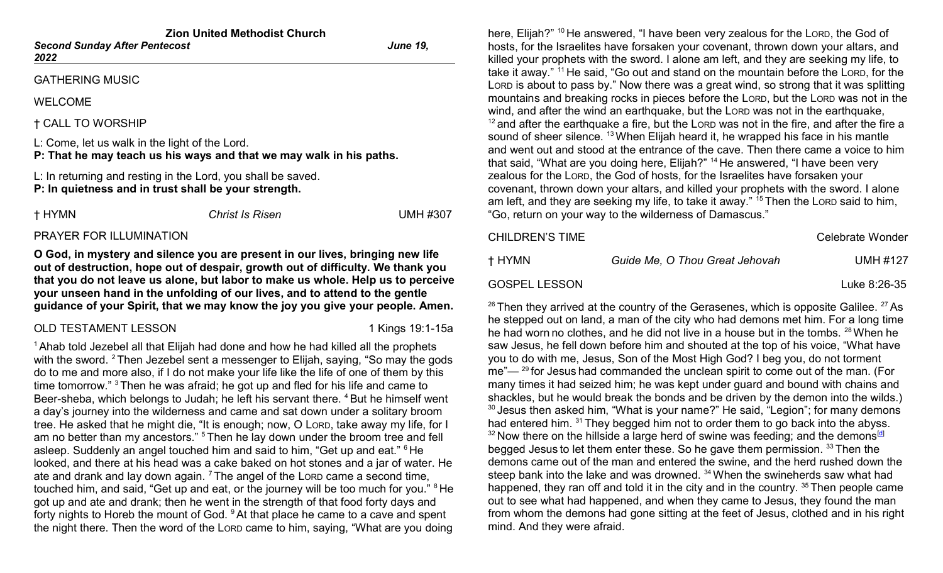| <b>Zion United Methodist Church</b>          |                 |  |  |  |  |
|----------------------------------------------|-----------------|--|--|--|--|
| <b>Second Sunday After Pentecost</b><br>2022 | <b>June 19.</b> |  |  |  |  |
| <b>GATHERING MUSIC</b>                       |                 |  |  |  |  |

WELCOME

† CALL TO WORSHIP

L: Come, let us walk in the light of the Lord.

P: That he may teach us his ways and that we may walk in his paths.

L: In returning and resting in the Lord, you shall be saved. P: In quietness and in trust shall be your strength.

| † HYMN | <b>Christ Is Risen</b> | <b>UMH #307</b> |
|--------|------------------------|-----------------|
|        |                        |                 |

#### PRAYER FOR ILLUMINATION

O God, in mystery and silence you are present in our lives, bringing new life out of destruction, hope out of despair, growth out of difficulty. We thank you that you do not leave us alone, but labor to make us whole. Help us to perceive your unseen hand in the unfolding of our lives, and to attend to the gentle guidance of your Spirit, that we may know the joy you give your people. Amen.

### OLD TESTAMENT LESSON 1 Kings 19:1-15a

 $1$ Ahab told Jezebel all that Elijah had done and how he had killed all the prophets with the sword. <sup>2</sup> Then Jezebel sent a messenger to Elijah, saying, "So may the gods do to me and more also, if I do not make your life like the life of one of them by this time tomorrow." <sup>3</sup>Then he was afraid; he got up and fled for his life and came to Beer-sheba, which belongs to Judah; he left his servant there. <sup>4</sup> But he himself went a day's journey into the wilderness and came and sat down under a solitary broom tree. He asked that he might die, "It is enough; now, O LORD, take away my life, for I am no better than my ancestors." <sup>5</sup> Then he lay down under the broom tree and fell asleep. Suddenly an angel touched him and said to him, "Get up and eat." <sup>6</sup> He looked, and there at his head was a cake baked on hot stones and a jar of water. He ate and drank and lay down again.  $<sup>7</sup>$  The angel of the LORD came a second time,</sup> touched him, and said, "Get up and eat, or the journey will be too much for you." <sup>8</sup> He got up and ate and drank; then he went in the strength of that food forty days and forty nights to Horeb the mount of God. <sup>9</sup>At that place he came to a cave and spent the night there. Then the word of the LORD came to him, saying, "What are you doing

here, Elijah?" <sup>10</sup> He answered, "I have been very zealous for the LORD, the God of hosts, for the Israelites have forsaken your covenant, thrown down your altars, and killed your prophets with the sword. I alone am left, and they are seeking my life, to take it away." <sup>11</sup>He said, "Go out and stand on the mountain before the LORD, for the LORD is about to pass by." Now there was a great wind, so strong that it was splitting mountains and breaking rocks in pieces before the LORD, but the LORD was not in the wind, and after the wind an earthquake, but the LORD was not in the earthquake,  $12$  and after the earthquake a fire, but the LORD was not in the fire, and after the fire a sound of sheer silence. <sup>13</sup> When Elijah heard it, he wrapped his face in his mantle and went out and stood at the entrance of the cave. Then there came a voice to him that said, "What are you doing here, Elijah?" <sup>14</sup>He answered, "I have been very zealous for the LORD, the God of hosts, for the Israelites have forsaken your covenant, thrown down your altars, and killed your prophets with the sword. I alone am left, and they are seeking my life, to take it away." <sup>15</sup> Then the Loro said to him, "Go, return on your way to the wilderness of Damascus."

| CHILDREN'S TIME      |                                | Celebrate Wonder |
|----------------------|--------------------------------|------------------|
| † HYMN               | Guide Me, O Thou Great Jehovah | <b>UMH #127</b>  |
| <b>GOSPEL LESSON</b> |                                | Luke 8:26-35     |

 $26$  Then they arrived at the country of the Gerasenes, which is opposite Galilee.  $27$  As he stepped out on land, a man of the city who had demons met him. For a long time he had worn no clothes, and he did not live in a house but in the tombs. 28 When he saw Jesus, he fell down before him and shouted at the top of his voice, "What have you to do with me, Jesus, Son of the Most High God? I beg you, do not torment  $me^{\prime}$   $-$  <sup>29</sup> for Jesus had commanded the unclean spirit to come out of the man. (For many times it had seized him; he was kept under guard and bound with chains and shackles, but he would break the bonds and be driven by the demon into the wilds.)  $30$  Jesus then asked him, "What is your name?" He said, "Legion"; for many demons had entered him. <sup>31</sup> They begged him not to order them to go back into the abyss.  $32$  Now there on the hillside a large herd of swine was feeding; and the demons<sup>[d]</sup> begged Jesus to let them enter these. So he gave them permission. 33 Then the demons came out of the man and entered the swine, and the herd rushed down the steep bank into the lake and was drowned. <sup>34</sup> When the swineherds saw what had happened, they ran off and told it in the city and in the country.  $35$  Then people came out to see what had happened, and when they came to Jesus, they found the man from whom the demons had gone sitting at the feet of Jesus, clothed and in his right mind. And they were afraid.